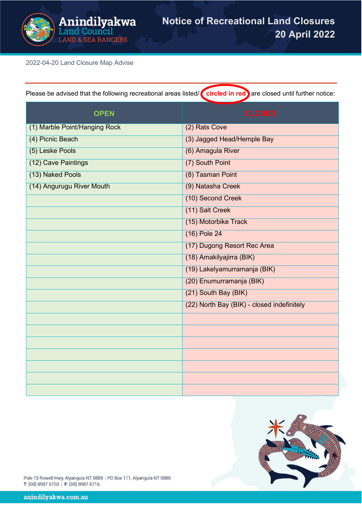

2022-04-20 Land Closure Map Advise

| <b>OPEN</b>                   | <b>CLOSED</b>                              |  |
|-------------------------------|--------------------------------------------|--|
| (1) Marble Point/Hanging Rock | (2) Rats Cove                              |  |
| (4) Picnic Beach              | (3) Jagged Head/Hemple Bay                 |  |
| (5) Leske Pools               | (6) Amagula River                          |  |
| (12) Cave Paintings           | (7) South Point                            |  |
| (13) Naked Pools              | (8) Tasman Point                           |  |
| (14) Angurugu River Mouth     | (9) Natasha Creek                          |  |
|                               | (10) Second Creek                          |  |
|                               | (11) Salt Creek                            |  |
|                               | (15) Motorbike Track                       |  |
|                               | (16) Pole 24                               |  |
|                               | (17) Dugong Resort Rec Area                |  |
|                               | (18) Amakilyajirra (BIK)                   |  |
|                               | (19) Lakelyamurramanja (BIK)               |  |
|                               | (20) Enumurramanja (BIK)                   |  |
|                               | (21) South Bay (BIK)                       |  |
|                               | (22) North Bay (BIK) - closed indefinitely |  |
|                               |                                            |  |
|                               |                                            |  |
|                               |                                            |  |
|                               |                                            |  |
|                               |                                            |  |
|                               |                                            |  |
|                               |                                            |  |

Please be advised that the following recreational areas listed/ **circled in red** are closed until further notice:



Pole 13 Rowell Hwy, Alyangula NT 0885 | PO Box 111, Alyangula NT 0885 T: (08) 8987 6703 | F: (08) 8987 6716